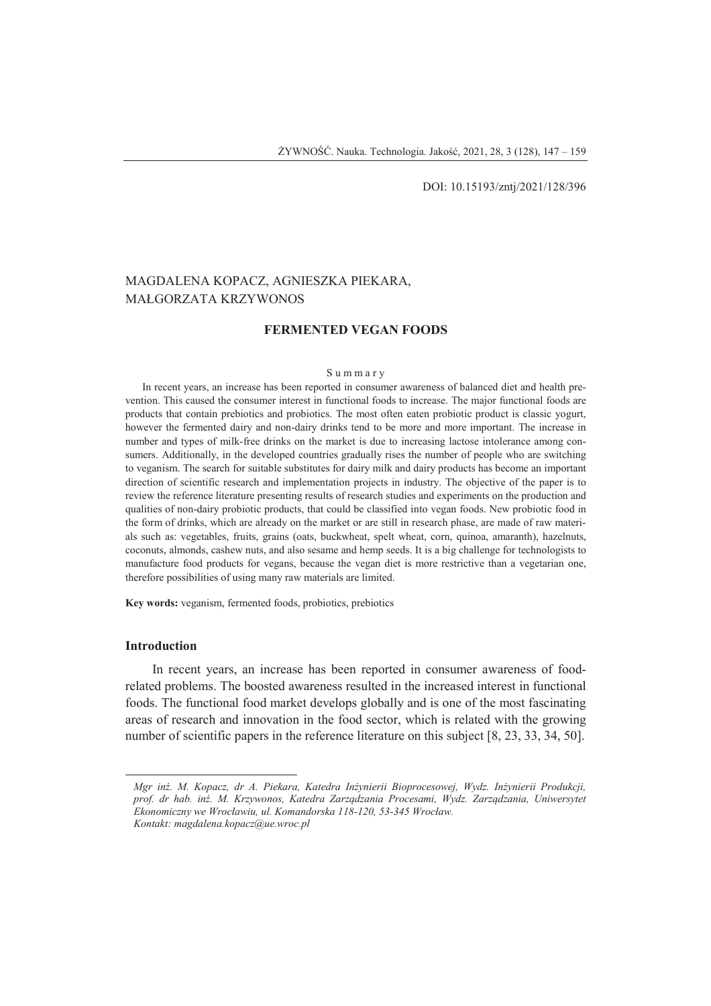#### DOI: 10.15193/zntj/2021/128/396

# MAGDALENA KOPACZ, AGNIESZKA PIEKARA, MAŁGORZATA KRZYWONOS

# **FERMENTED VEGAN FOODS**

#### S u m m a r y

In recent years, an increase has been reported in consumer awareness of balanced diet and health prevention. This caused the consumer interest in functional foods to increase. The major functional foods are products that contain prebiotics and probiotics. The most often eaten probiotic product is classic yogurt, however the fermented dairy and non-dairy drinks tend to be more and more important. The increase in number and types of milk-free drinks on the market is due to increasing lactose intolerance among consumers. Additionally, in the developed countries gradually rises the number of people who are switching to veganism. The search for suitable substitutes for dairy milk and dairy products has become an important direction of scientific research and implementation projects in industry. The objective of the paper is to review the reference literature presenting results of research studies and experiments on the production and qualities of non-dairy probiotic products, that could be classified into vegan foods. New probiotic food in the form of drinks, which are already on the market or are still in research phase, are made of raw materials such as: vegetables, fruits, grains (oats, buckwheat, spelt wheat, corn, quinoa, amaranth), hazelnuts, coconuts, almonds, cashew nuts, and also sesame and hemp seeds. It is a big challenge for technologists to manufacture food products for vegans, because the vegan diet is more restrictive than a vegetarian one, therefore possibilities of using many raw materials are limited.

**Key words:** veganism, fermented foods, probiotics, prebiotics

# **Introduction**

 $\overline{a}$ 

In recent years, an increase has been reported in consumer awareness of foodrelated problems. The boosted awareness resulted in the increased interest in functional foods. The functional food market develops globally and is one of the most fascinating areas of research and innovation in the food sector, which is related with the growing number of scientific papers in the reference literature on this subject [8, 23, 33, 34, 50].

*Mgr inż. M. Kopacz, dr A. Piekara, Katedra Inżynierii Bioprocesowej, Wydz. Inżynierii Produkcji, prof. dr hab. inż. M. Krzywonos, Katedra Zarządzania Procesami, Wydz. Zarządzania, Uniwersytet Ekonomiczny we Wrocławiu, ul. Komandorska 118-120, 53-345 Wrocław. Kontakt: magdalena.kopacz@ue.wroc.pl*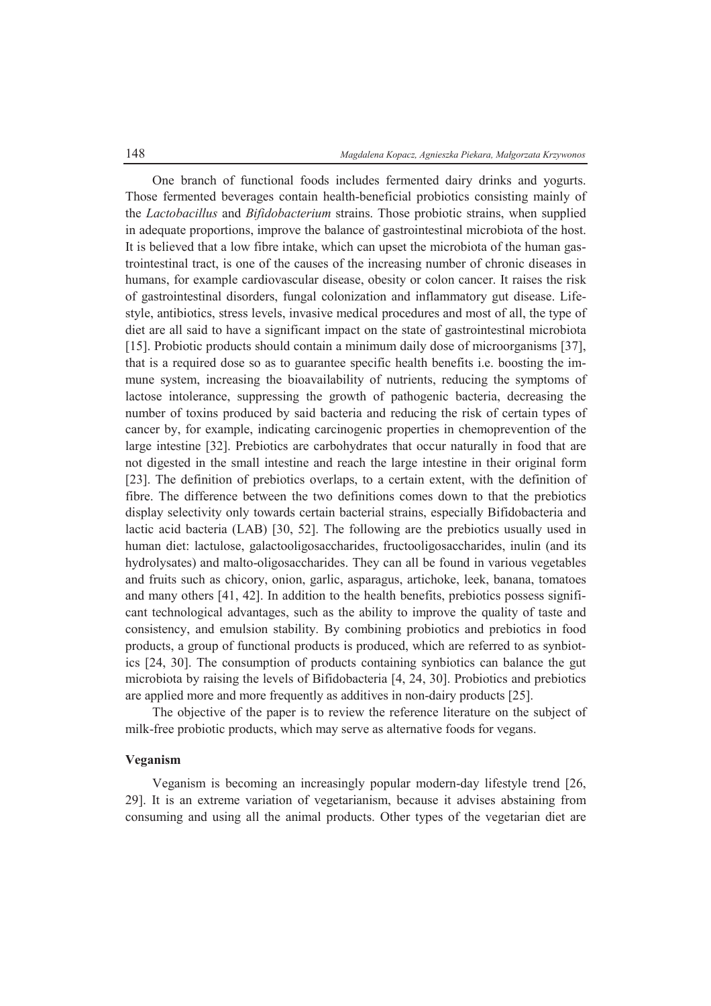One branch of functional foods includes fermented dairy drinks and yogurts. Those fermented beverages contain health-beneficial probiotics consisting mainly of the *Lactobacillus* and *Bifidobacterium* strains. Those probiotic strains, when supplied in adequate proportions, improve the balance of gastrointestinal microbiota of the host. It is believed that a low fibre intake, which can upset the microbiota of the human gastrointestinal tract, is one of the causes of the increasing number of chronic diseases in humans, for example cardiovascular disease, obesity or colon cancer. It raises the risk of gastrointestinal disorders, fungal colonization and inflammatory gut disease. Lifestyle, antibiotics, stress levels, invasive medical procedures and most of all, the type of diet are all said to have a significant impact on the state of gastrointestinal microbiota [15]. Probiotic products should contain a minimum daily dose of microorganisms [37], that is a required dose so as to guarantee specific health benefits i.e. boosting the immune system, increasing the bioavailability of nutrients, reducing the symptoms of lactose intolerance, suppressing the growth of pathogenic bacteria, decreasing the number of toxins produced by said bacteria and reducing the risk of certain types of cancer by, for example, indicating carcinogenic properties in chemoprevention of the large intestine [32]. Prebiotics are carbohydrates that occur naturally in food that are not digested in the small intestine and reach the large intestine in their original form [23]. The definition of prebiotics overlaps, to a certain extent, with the definition of fibre. The difference between the two definitions comes down to that the prebiotics display selectivity only towards certain bacterial strains, especially Bifidobacteria and lactic acid bacteria (LAB) [30, 52]. The following are the prebiotics usually used in human diet: lactulose, galactooligosaccharides, fructooligosaccharides, inulin (and its hydrolysates) and malto-oligosaccharides. They can all be found in various vegetables and fruits such as chicory, onion, garlic, asparagus, artichoke, leek, banana, tomatoes and many others [41, 42]. In addition to the health benefits, prebiotics possess significant technological advantages, such as the ability to improve the quality of taste and consistency, and emulsion stability. By combining probiotics and prebiotics in food products, a group of functional products is produced, which are referred to as synbiotics [24, 30]. The consumption of products containing synbiotics can balance the gut microbiota by raising the levels of Bifidobacteria [4, 24, 30]. Probiotics and prebiotics are applied more and more frequently as additives in non-dairy products [25].

The objective of the paper is to review the reference literature on the subject of milk-free probiotic products, which may serve as alternative foods for vegans.

#### **Veganism**

Veganism is becoming an increasingly popular modern-day lifestyle trend [26, 29]. It is an extreme variation of vegetarianism, because it advises abstaining from consuming and using all the animal products. Other types of the vegetarian diet are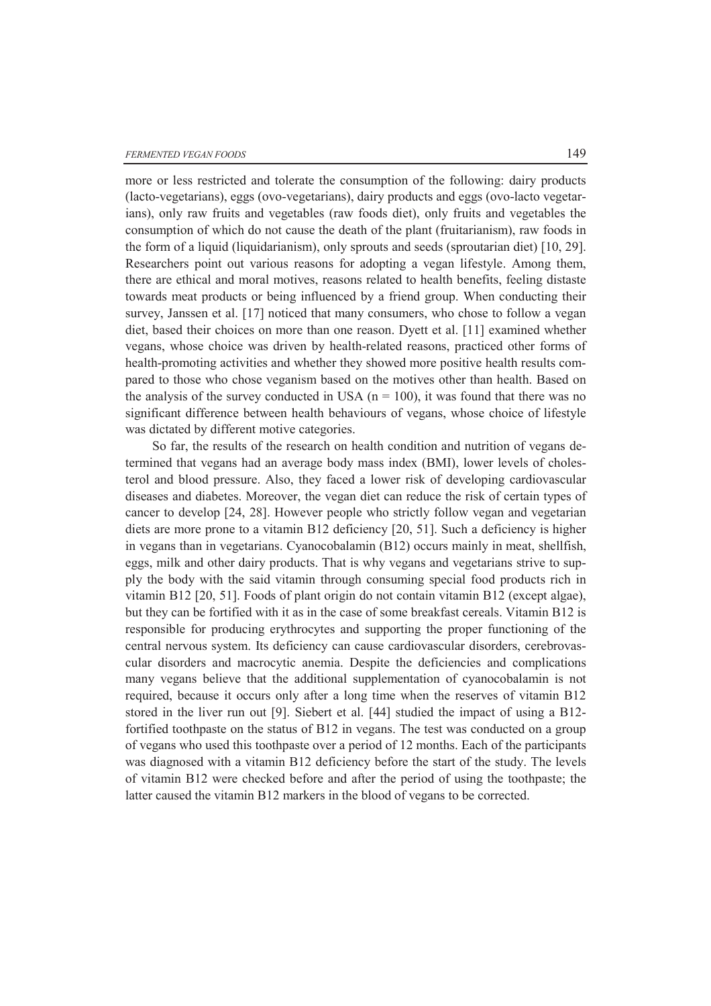more or less restricted and tolerate the consumption of the following: dairy products (lacto-vegetarians), eggs (ovo-vegetarians), dairy products and eggs (ovo-lacto vegetarians), only raw fruits and vegetables (raw foods diet), only fruits and vegetables the consumption of which do not cause the death of the plant (fruitarianism), raw foods in the form of a liquid (liquidarianism), only sprouts and seeds (sproutarian diet) [10, 29]. Researchers point out various reasons for adopting a vegan lifestyle. Among them, there are ethical and moral motives, reasons related to health benefits, feeling distaste towards meat products or being influenced by a friend group. When conducting their survey, Janssen et al. [17] noticed that many consumers, who chose to follow a vegan diet, based their choices on more than one reason. Dyett et al. [11] examined whether vegans, whose choice was driven by health-related reasons, practiced other forms of health-promoting activities and whether they showed more positive health results compared to those who chose veganism based on the motives other than health. Based on the analysis of the survey conducted in USA  $(n = 100)$ , it was found that there was no significant difference between health behaviours of vegans, whose choice of lifestyle was dictated by different motive categories.

So far, the results of the research on health condition and nutrition of vegans determined that vegans had an average body mass index (BMI), lower levels of cholesterol and blood pressure. Also, they faced a lower risk of developing cardiovascular diseases and diabetes. Moreover, the vegan diet can reduce the risk of certain types of cancer to develop [24, 28]. However people who strictly follow vegan and vegetarian diets are more prone to a vitamin B12 deficiency [20, 51]. Such a deficiency is higher in vegans than in vegetarians. Cyanocobalamin (B12) occurs mainly in meat, shellfish, eggs, milk and other dairy products. That is why vegans and vegetarians strive to supply the body with the said vitamin through consuming special food products rich in vitamin B12 [20, 51]. Foods of plant origin do not contain vitamin B12 (except algae), but they can be fortified with it as in the case of some breakfast cereals. Vitamin B12 is responsible for producing erythrocytes and supporting the proper functioning of the central nervous system. Its deficiency can cause cardiovascular disorders, cerebrovascular disorders and macrocytic anemia. Despite the deficiencies and complications many vegans believe that the additional supplementation of cyanocobalamin is not required, because it occurs only after a long time when the reserves of vitamin B12 stored in the liver run out [9]. Siebert et al. [44] studied the impact of using a B12 fortified toothpaste on the status of B12 in vegans. The test was conducted on a group of vegans who used this toothpaste over a period of 12 months. Each of the participants was diagnosed with a vitamin B12 deficiency before the start of the study. The levels of vitamin B12 were checked before and after the period of using the toothpaste; the latter caused the vitamin B12 markers in the blood of vegans to be corrected.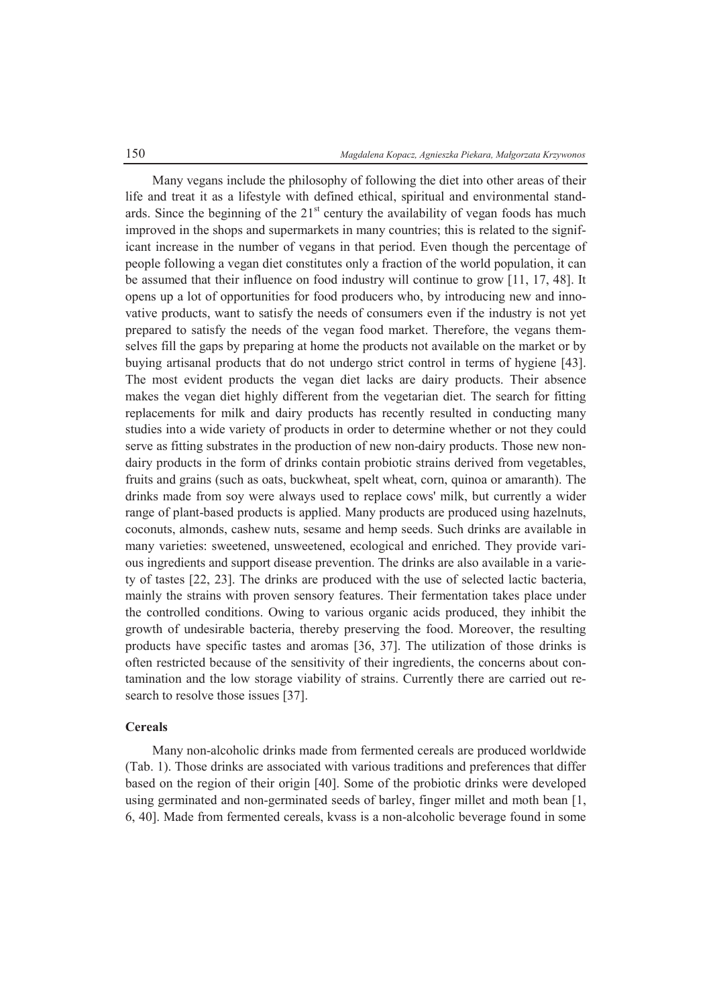Many vegans include the philosophy of following the diet into other areas of their life and treat it as a lifestyle with defined ethical, spiritual and environmental standards. Since the beginning of the  $21<sup>st</sup>$  century the availability of vegan foods has much improved in the shops and supermarkets in many countries; this is related to the significant increase in the number of vegans in that period. Even though the percentage of people following a vegan diet constitutes only a fraction of the world population, it can be assumed that their influence on food industry will continue to grow [11, 17, 48]. It opens up a lot of opportunities for food producers who, by introducing new and innovative products, want to satisfy the needs of consumers even if the industry is not yet prepared to satisfy the needs of the vegan food market. Therefore, the vegans themselves fill the gaps by preparing at home the products not available on the market or by buying artisanal products that do not undergo strict control in terms of hygiene [43]. The most evident products the vegan diet lacks are dairy products. Their absence makes the vegan diet highly different from the vegetarian diet. The search for fitting replacements for milk and dairy products has recently resulted in conducting many studies into a wide variety of products in order to determine whether or not they could serve as fitting substrates in the production of new non-dairy products. Those new nondairy products in the form of drinks contain probiotic strains derived from vegetables, fruits and grains (such as oats, buckwheat, spelt wheat, corn, quinoa or amaranth). The drinks made from soy were always used to replace cows' milk, but currently a wider range of plant-based products is applied. Many products are produced using hazelnuts, coconuts, almonds, cashew nuts, sesame and hemp seeds. Such drinks are available in many varieties: sweetened, unsweetened, ecological and enriched. They provide various ingredients and support disease prevention. The drinks are also available in a variety of tastes [22, 23]. The drinks are produced with the use of selected lactic bacteria, mainly the strains with proven sensory features. Their fermentation takes place under the controlled conditions. Owing to various organic acids produced, they inhibit the growth of undesirable bacteria, thereby preserving the food. Moreover, the resulting products have specific tastes and aromas [36, 37]. The utilization of those drinks is often restricted because of the sensitivity of their ingredients, the concerns about contamination and the low storage viability of strains. Currently there are carried out research to resolve those issues [37].

# **Cereals**

Many non-alcoholic drinks made from fermented cereals are produced worldwide (Tab. 1). Those drinks are associated with various traditions and preferences that differ based on the region of their origin [40]. Some of the probiotic drinks were developed using germinated and non-germinated seeds of barley, finger millet and moth bean [1, 6, 40]. Made from fermented cereals, kvass is a non-alcoholic beverage found in some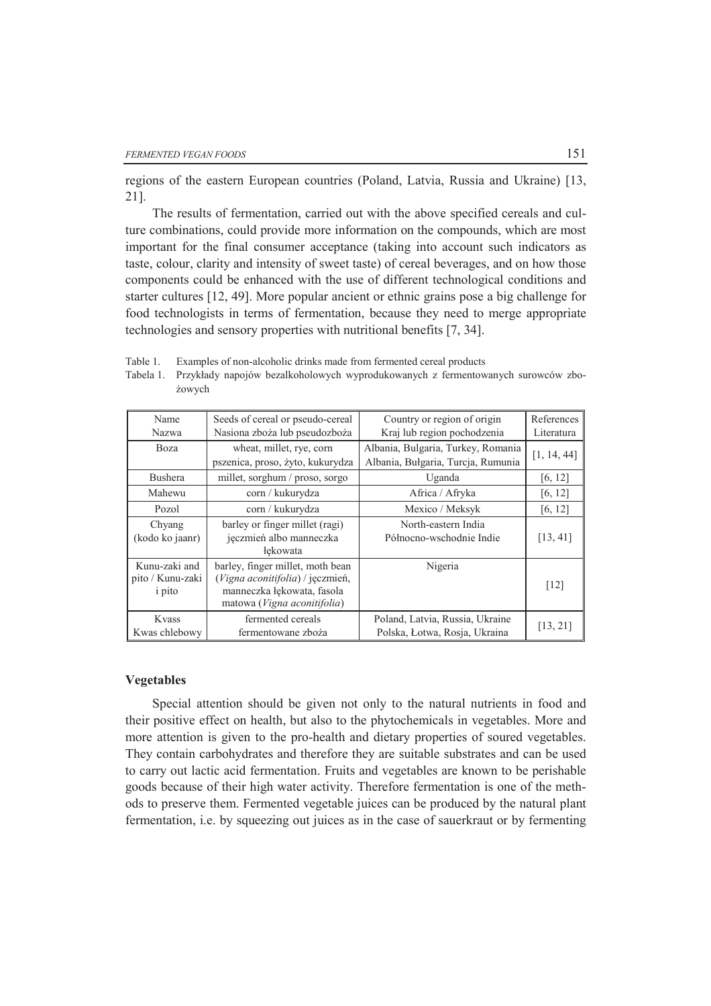żowych

regions of the eastern European countries (Poland, Latvia, Russia and Ukraine) [13, 21].

The results of fermentation, carried out with the above specified cereals and culture combinations, could provide more information on the compounds, which are most important for the final consumer acceptance (taking into account such indicators as taste, colour, clarity and intensity of sweet taste) of cereal beverages, and on how those components could be enhanced with the use of different technological conditions and starter cultures [12, 49]. More popular ancient or ethnic grains pose a big challenge for food technologists in terms of fermentation, because they need to merge appropriate technologies and sensory properties with nutritional benefits [7, 34].

Tabela 1. Przykłady napojów bezalkoholowych wyprodukowanych z fermentowanych surowców zbo-

| Name                                               | Seeds of cereal or pseudo-cereal                                                                                                  | Country or region of origin                                      | References  |
|----------------------------------------------------|-----------------------------------------------------------------------------------------------------------------------------------|------------------------------------------------------------------|-------------|
| Nazwa                                              | Nasiona zboża lub pseudozboża                                                                                                     | Kraj lub region pochodzenia                                      | Literatura  |
| Boza                                               | wheat, millet, rye, corn                                                                                                          | Albania, Bulgaria, Turkey, Romania                               | [1, 14, 44] |
|                                                    | pszenica, proso, żyto, kukurydza                                                                                                  | Albania, Bułgaria, Turcja, Rumunia                               |             |
| <b>Bushera</b>                                     | millet, sorghum / proso, sorgo                                                                                                    | Uganda                                                           | [6, 12]     |
| Mahewu                                             | corn / kukurydza                                                                                                                  | Africa / Afryka                                                  | [6, 12]     |
| Pozol                                              | corn / kukurydza                                                                                                                  | Mexico / Meksyk                                                  | [6, 12]     |
| Chyang<br>(kodo ko jaanr)                          | barley or finger millet (ragi)<br>jęczmień albo manneczka<br>łekowata                                                             | North-eastern India<br>Północno-wschodnie Indie                  | [13, 41]    |
| Kunu-zaki and<br>pito / Kunu-zaki<br><i>i</i> pito | barley, finger millet, moth bean<br>(Vigna aconitifolia) / jeczmień,<br>manneczka łękowata, fasola<br>matowa (Vigna aconitifolia) | Nigeria                                                          | [12]        |
| Kvass<br>Kwas chlebowy                             | fermented cereals<br>fermentowane zboża                                                                                           | Poland, Latvia, Russia, Ukraine<br>Polska, Łotwa, Rosja, Ukraina | [13, 21]    |

Table 1. Examples of non-alcoholic drinks made from fermented cereal products

#### **Vegetables**

Special attention should be given not only to the natural nutrients in food and their positive effect on health, but also to the phytochemicals in vegetables. More and more attention is given to the pro-health and dietary properties of soured vegetables. They contain carbohydrates and therefore they are suitable substrates and can be used to carry out lactic acid fermentation. Fruits and vegetables are known to be perishable goods because of their high water activity. Therefore fermentation is one of the methods to preserve them. Fermented vegetable juices can be produced by the natural plant fermentation, i.e. by squeezing out juices as in the case of sauerkraut or by fermenting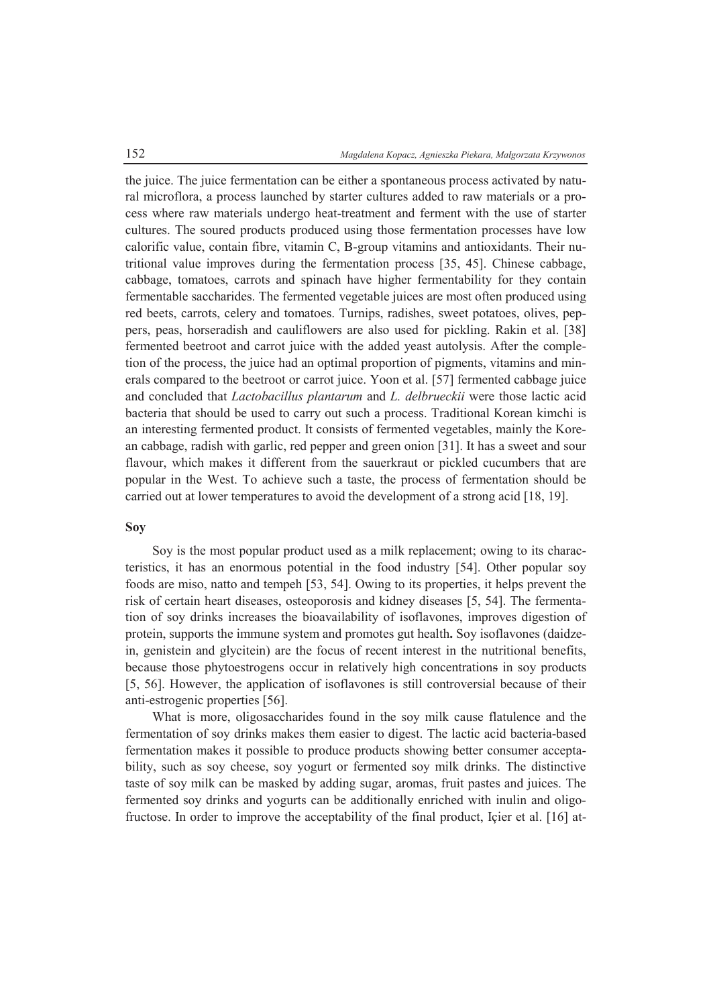the juice. The juice fermentation can be either a spontaneous process activated by natural microflora, a process launched by starter cultures added to raw materials or a process where raw materials undergo heat-treatment and ferment with the use of starter cultures. The soured products produced using those fermentation processes have low calorific value, contain fibre, vitamin C, B-group vitamins and antioxidants. Their nutritional value improves during the fermentation process [35, 45]. Chinese cabbage, cabbage, tomatoes, carrots and spinach have higher fermentability for they contain fermentable saccharides. The fermented vegetable juices are most often produced using red beets, carrots, celery and tomatoes. Turnips, radishes, sweet potatoes, olives, peppers, peas, horseradish and cauliflowers are also used for pickling. Rakin et al. [38] fermented beetroot and carrot juice with the added yeast autolysis. After the completion of the process, the juice had an optimal proportion of pigments, vitamins and minerals compared to the beetroot or carrot juice. Yoon et al. [57] fermented cabbage juice and concluded that *Lactobacillus plantarum* and *L. delbrueckii* were those lactic acid bacteria that should be used to carry out such a process. Traditional Korean kimchi is an interesting fermented product. It consists of fermented vegetables, mainly the Korean cabbage, radish with garlic, red pepper and green onion [31]. It has a sweet and sour flavour, which makes it different from the sauerkraut or pickled cucumbers that are popular in the West. To achieve such a taste, the process of fermentation should be carried out at lower temperatures to avoid the development of a strong acid [18, 19].

### **Soy**

Soy is the most popular product used as a milk replacement; owing to its characteristics, it has an enormous potential in the food industry [54]. Other popular soy foods are miso, natto and tempeh [53, 54]. Owing to its properties, it helps prevent the risk of certain heart diseases, osteoporosis and kidney diseases [5, 54]. The fermentation of soy drinks increases the bioavailability of isoflavones, improves digestion of protein, supports the immune system and promotes gut health**.** Soy isoflavones (daidzein, genistein and glycitein) are the focus of recent interest in the nutritional benefits, because those phytoestrogens occur in relatively high concentrations in soy products [5, 56]. However, the application of isoflavones is still controversial because of their anti-estrogenic properties [56].

What is more, oligosaccharides found in the soy milk cause flatulence and the fermentation of soy drinks makes them easier to digest. The lactic acid bacteria-based fermentation makes it possible to produce products showing better consumer acceptability, such as soy cheese, soy yogurt or fermented soy milk drinks. The distinctive taste of soy milk can be masked by adding sugar, aromas, fruit pastes and juices. The fermented soy drinks and yogurts can be additionally enriched with inulin and oligofructose. In order to improve the acceptability of the final product, Içier et al. [16] at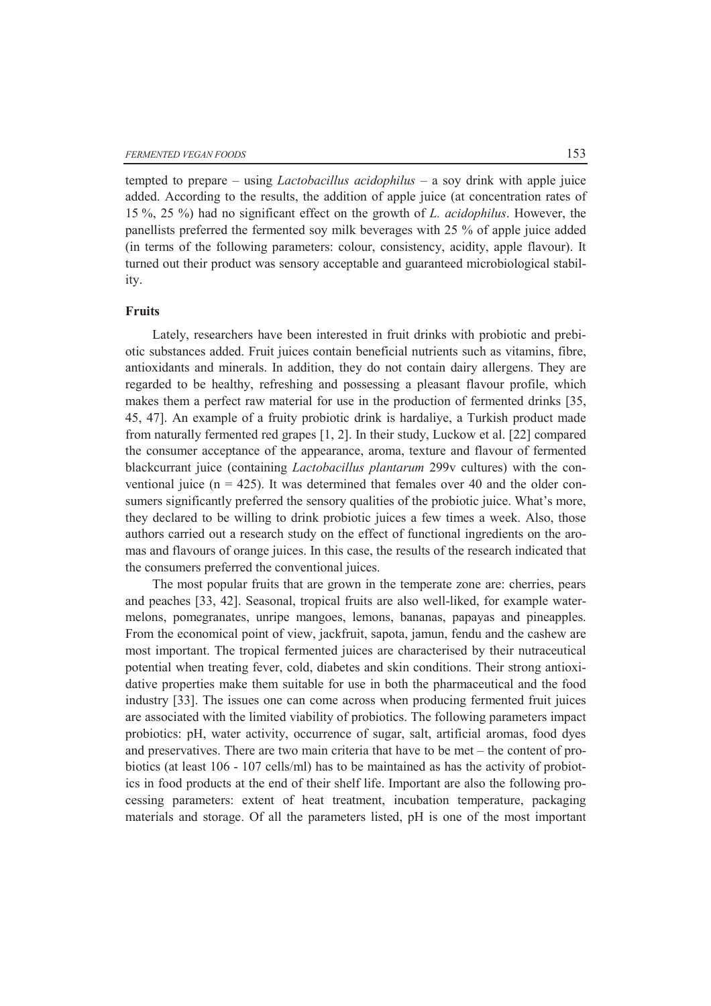tempted to prepare – using *Lactobacillus acidophilus* – a soy drink with apple juice added. According to the results, the addition of apple juice (at concentration rates of 15 %, 25 %) had no significant effect on the growth of *L. acidophilus*. However, the panellists preferred the fermented soy milk beverages with 25 % of apple juice added (in terms of the following parameters: colour, consistency, acidity, apple flavour). It turned out their product was sensory acceptable and guaranteed microbiological stability.

# **Fruits**

Lately, researchers have been interested in fruit drinks with probiotic and prebiotic substances added. Fruit juices contain beneficial nutrients such as vitamins, fibre, antioxidants and minerals. In addition, they do not contain dairy allergens. They are regarded to be healthy, refreshing and possessing a pleasant flavour profile, which makes them a perfect raw material for use in the production of fermented drinks [35, 45, 47]. An example of a fruity probiotic drink is hardaliye, a Turkish product made from naturally fermented red grapes [1, 2]. In their study, Luckow et al. [22] compared the consumer acceptance of the appearance, aroma, texture and flavour of fermented blackcurrant juice (containing *Lactobacillus plantarum* 299v cultures) with the conventional juice  $(n = 425)$ . It was determined that females over 40 and the older consumers significantly preferred the sensory qualities of the probiotic juice. What's more, they declared to be willing to drink probiotic juices a few times a week. Also, those authors carried out a research study on the effect of functional ingredients on the aromas and flavours of orange juices. In this case, the results of the research indicated that the consumers preferred the conventional juices.

The most popular fruits that are grown in the temperate zone are: cherries, pears and peaches [33, 42]. Seasonal, tropical fruits are also well-liked, for example watermelons, pomegranates, unripe mangoes, lemons, bananas, papayas and pineapples. From the economical point of view, jackfruit, sapota, jamun, fendu and the cashew are most important. The tropical fermented juices are characterised by their nutraceutical potential when treating fever, cold, diabetes and skin conditions. Their strong antioxidative properties make them suitable for use in both the pharmaceutical and the food industry [33]. The issues one can come across when producing fermented fruit juices are associated with the limited viability of probiotics. The following parameters impact probiotics: pH, water activity, occurrence of sugar, salt, artificial aromas, food dyes and preservatives. There are two main criteria that have to be met – the content of probiotics (at least 106 - 107 cells/ml) has to be maintained as has the activity of probiotics in food products at the end of their shelf life. Important are also the following processing parameters: extent of heat treatment, incubation temperature, packaging materials and storage. Of all the parameters listed, pH is one of the most important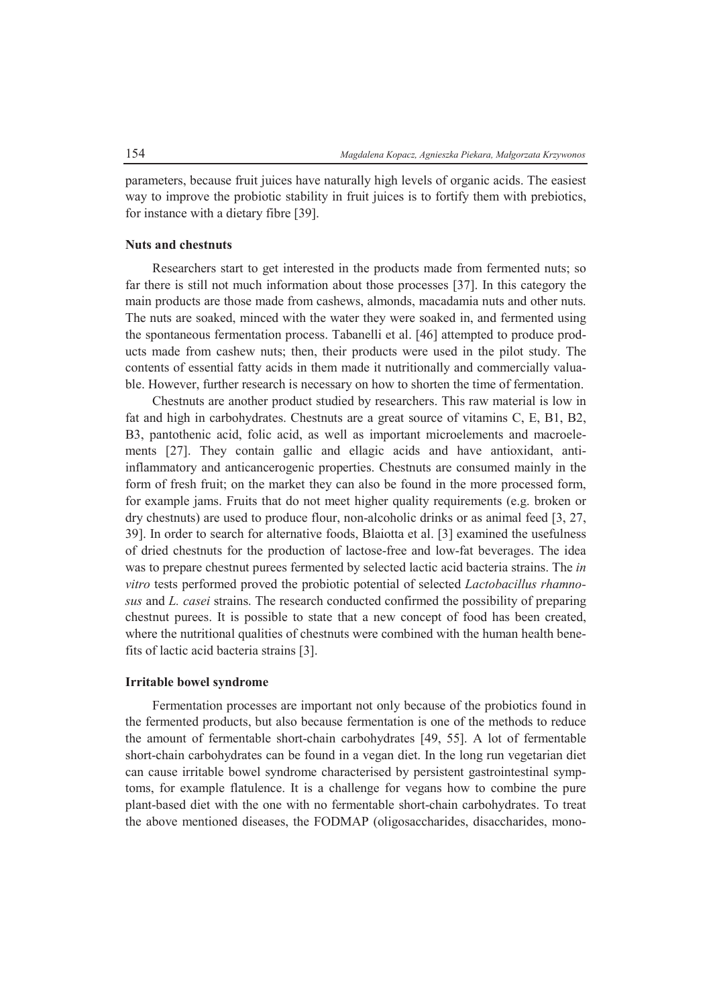parameters, because fruit juices have naturally high levels of organic acids. The easiest way to improve the probiotic stability in fruit juices is to fortify them with prebiotics, for instance with a dietary fibre [39].

# **Nuts and chestnuts**

Researchers start to get interested in the products made from fermented nuts; so far there is still not much information about those processes [37]. In this category the main products are those made from cashews, almonds, macadamia nuts and other nuts. The nuts are soaked, minced with the water they were soaked in, and fermented using the spontaneous fermentation process. Tabanelli et al. [46] attempted to produce products made from cashew nuts; then, their products were used in the pilot study. The contents of essential fatty acids in them made it nutritionally and commercially valuable. However, further research is necessary on how to shorten the time of fermentation.

Chestnuts are another product studied by researchers. This raw material is low in fat and high in carbohydrates. Chestnuts are a great source of vitamins C, E, B1, B2, B3, pantothenic acid, folic acid, as well as important microelements and macroelements [27]. They contain gallic and ellagic acids and have antioxidant, antiinflammatory and anticancerogenic properties. Chestnuts are consumed mainly in the form of fresh fruit; on the market they can also be found in the more processed form, for example jams. Fruits that do not meet higher quality requirements (e.g. broken or dry chestnuts) are used to produce flour, non-alcoholic drinks or as animal feed [3, 27, 39]. In order to search for alternative foods, Blaiotta et al. [3] examined the usefulness of dried chestnuts for the production of lactose-free and low-fat beverages. The idea was to prepare chestnut purees fermented by selected lactic acid bacteria strains. The *in vitro* tests performed proved the probiotic potential of selected *Lactobacillus rhamnosus* and *L. casei* strains. The research conducted confirmed the possibility of preparing chestnut purees. It is possible to state that a new concept of food has been created, where the nutritional qualities of chestnuts were combined with the human health benefits of lactic acid bacteria strains [3].

# **Irritable bowel syndrome**

Fermentation processes are important not only because of the probiotics found in the fermented products, but also because fermentation is one of the methods to reduce the amount of fermentable short-chain carbohydrates [49, 55]. A lot of fermentable short-chain carbohydrates can be found in a vegan diet. In the long run vegetarian diet can cause irritable bowel syndrome characterised by persistent gastrointestinal symptoms, for example flatulence. It is a challenge for vegans how to combine the pure plant-based diet with the one with no fermentable short-chain carbohydrates. To treat the above mentioned diseases, the FODMAP (oligosaccharides, disaccharides, mono-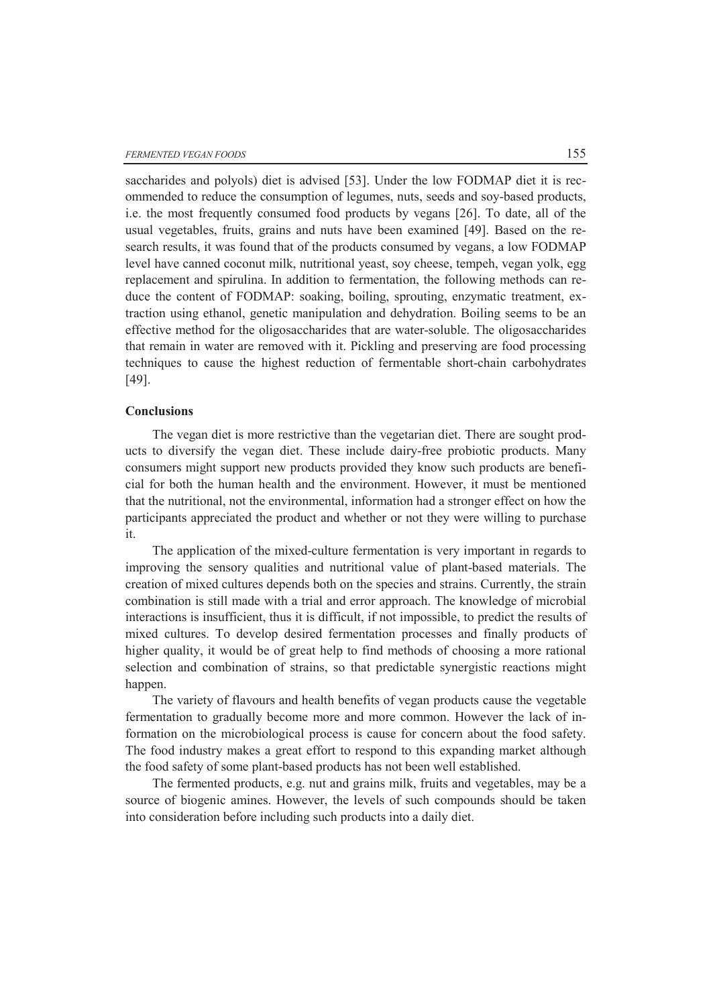saccharides and polyols) diet is advised [53]. Under the low FODMAP diet it is recommended to reduce the consumption of legumes, nuts, seeds and soy-based products, i.e. the most frequently consumed food products by vegans [26]. To date, all of the usual vegetables, fruits, grains and nuts have been examined [49]. Based on the research results, it was found that of the products consumed by vegans, a low FODMAP level have canned coconut milk, nutritional yeast, soy cheese, tempeh, vegan yolk, egg replacement and spirulina. In addition to fermentation, the following methods can reduce the content of FODMAP: soaking, boiling, sprouting, enzymatic treatment, extraction using ethanol, genetic manipulation and dehydration. Boiling seems to be an effective method for the oligosaccharides that are water-soluble. The oligosaccharides that remain in water are removed with it. Pickling and preserving are food processing techniques to cause the highest reduction of fermentable short-chain carbohydrates [49].

# **Conclusions**

The vegan diet is more restrictive than the vegetarian diet. There are sought products to diversify the vegan diet. These include dairy-free probiotic products. Many consumers might support new products provided they know such products are beneficial for both the human health and the environment. However, it must be mentioned that the nutritional, not the environmental, information had a stronger effect on how the participants appreciated the product and whether or not they were willing to purchase it.

The application of the mixed-culture fermentation is very important in regards to improving the sensory qualities and nutritional value of plant-based materials. The creation of mixed cultures depends both on the species and strains. Currently, the strain combination is still made with a trial and error approach. The knowledge of microbial interactions is insufficient, thus it is difficult, if not impossible, to predict the results of mixed cultures. To develop desired fermentation processes and finally products of higher quality, it would be of great help to find methods of choosing a more rational selection and combination of strains, so that predictable synergistic reactions might happen.

The variety of flavours and health benefits of vegan products cause the vegetable fermentation to gradually become more and more common. However the lack of information on the microbiological process is cause for concern about the food safety. The food industry makes a great effort to respond to this expanding market although the food safety of some plant-based products has not been well established.

The fermented products, e.g. nut and grains milk, fruits and vegetables, may be a source of biogenic amines. However, the levels of such compounds should be taken into consideration before including such products into a daily diet.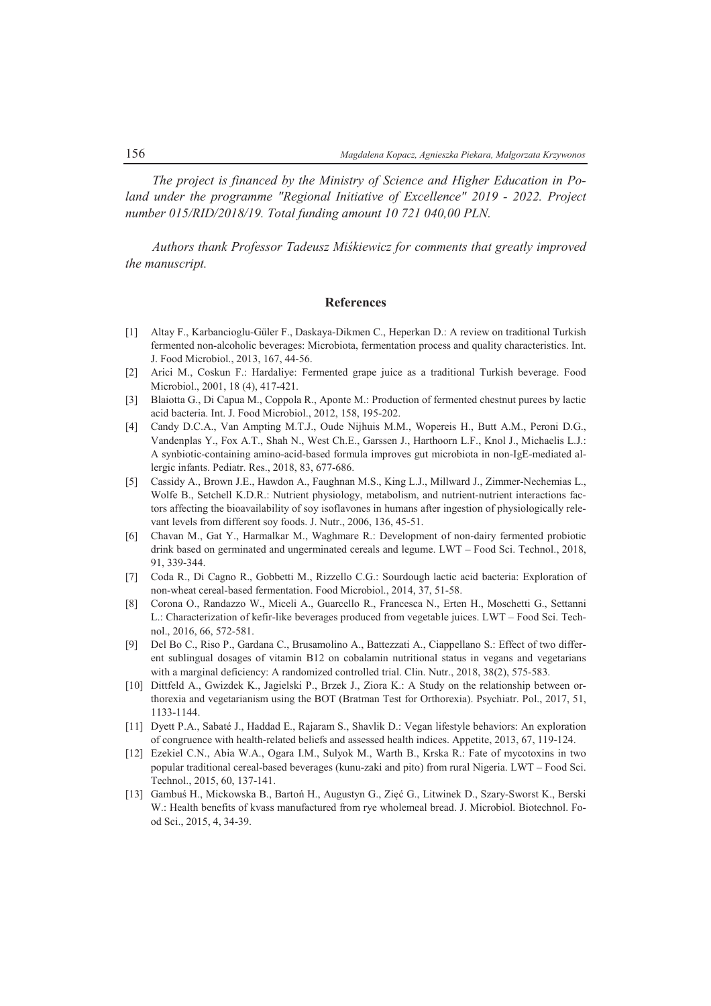*The project is financed by the Ministry of Science and Higher Education in Poland under the programme "Regional Initiative of Excellence" 2019 - 2022. Project number 015/RID/2018/19. Total funding amount 10 721 040,00 PLN.* 

*Authors thank Professor Tadeusz Miśkiewicz for comments that greatly improved the manuscript.* 

### **References**

- [1] Altay F., Karbancioglu-Güler F., Daskaya-Dikmen C., Heperkan D.: A review on traditional Turkish fermented non-alcoholic beverages: Microbiota, fermentation process and quality characteristics. Int. J. Food Microbiol., 2013, 167, 44-56.
- [2] Arici M., Coskun F.: Hardaliye: Fermented grape juice as a traditional Turkish beverage. Food Microbiol., 2001, 18 (4), 417-421.
- [3] Blaiotta G., Di Capua M., Coppola R., Aponte M.: Production of fermented chestnut purees by lactic acid bacteria. Int. J. Food Microbiol., 2012, 158, 195-202.
- [4] Candy D.C.A., Van Ampting M.T.J., Oude Nijhuis M.M., Wopereis H., Butt A.M., Peroni D.G., Vandenplas Y., Fox A.T., Shah N., West Ch.E., Garssen J., Harthoorn L.F., Knol J., Michaelis L.J.: A synbiotic-containing amino-acid-based formula improves gut microbiota in non-IgE-mediated allergic infants. Pediatr. Res., 2018, 83, 677-686.
- [5] Cassidy A., Brown J.E., Hawdon A., Faughnan M.S., King L.J., Millward J., Zimmer-Nechemias L., Wolfe B., Setchell K.D.R.: Nutrient physiology, metabolism, and nutrient-nutrient interactions factors affecting the bioavailability of soy isoflavones in humans after ingestion of physiologically relevant levels from different soy foods. J. Nutr., 2006, 136, 45-51.
- [6] Chavan M., Gat Y., Harmalkar M., Waghmare R.: Development of non-dairy fermented probiotic drink based on germinated and ungerminated cereals and legume. LWT – Food Sci. Technol., 2018, 91, 339-344.
- [7] Coda R., Di Cagno R., Gobbetti M., Rizzello C.G.: Sourdough lactic acid bacteria: Exploration of non-wheat cereal-based fermentation. Food Microbiol., 2014, 37, 51-58.
- [8] Corona O., Randazzo W., Miceli A., Guarcello R., Francesca N., Erten H., Moschetti G., Settanni L.: Characterization of kefir-like beverages produced from vegetable juices. LWT – Food Sci. Technol., 2016, 66, 572-581.
- [9] Del Bo C., Riso P., Gardana C., Brusamolino A., Battezzati A., Ciappellano S.: Effect of two different sublingual dosages of vitamin B12 on cobalamin nutritional status in vegans and vegetarians with a marginal deficiency: A randomized controlled trial. Clin. Nutr., 2018, 38(2), 575-583.
- [10] Dittfeld A., Gwizdek K., Jagielski P., Brzek J., Ziora K.: A Study on the relationship between orthorexia and vegetarianism using the BOT (Bratman Test for Orthorexia). Psychiatr. Pol., 2017, 51, 1133-1144.
- [11] Dyett P.A., Sabaté J., Haddad E., Rajaram S., Shavlik D.: Vegan lifestyle behaviors: An exploration of congruence with health-related beliefs and assessed health indices. Appetite, 2013, 67, 119-124.
- [12] Ezekiel C.N., Abia W.A., Ogara I.M., Sulyok M., Warth B., Krska R.: Fate of mycotoxins in two popular traditional cereal-based beverages (kunu-zaki and pito) from rural Nigeria. LWT – Food Sci. Technol., 2015, 60, 137-141.
- [13] Gambuś H., Mickowska B., Bartoń H., Augustyn G., Zięć G., Litwinek D., Szary-Sworst K., Berski W.: Health benefits of kvass manufactured from rye wholemeal bread. J. Microbiol. Biotechnol. Food Sci., 2015, 4, 34-39.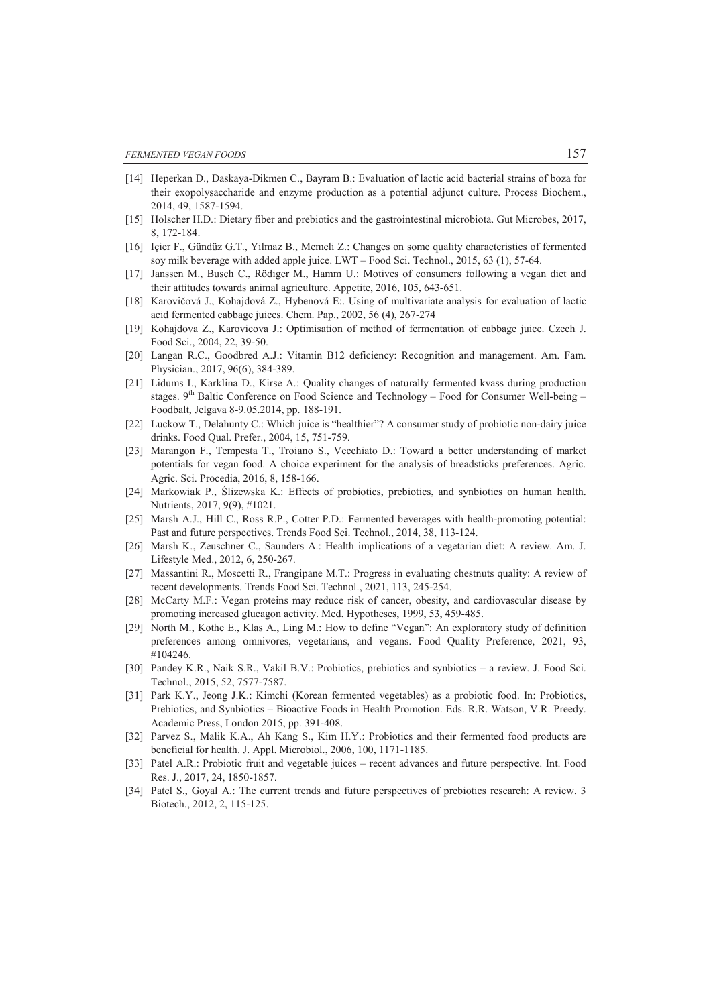- [14] Heperkan D., Daskaya-Dikmen C., Bayram B.: Evaluation of lactic acid bacterial strains of boza for their exopolysaccharide and enzyme production as a potential adjunct culture. Process Biochem., 2014, 49, 1587-1594.
- [15] Holscher H.D.: Dietary fiber and prebiotics and the gastrointestinal microbiota. Gut Microbes, 2017, 8, 172-184.
- [16] Içier F., Gündüz G.T., Yilmaz B., Memeli Z.: Changes on some quality characteristics of fermented soy milk beverage with added apple juice. LWT – Food Sci. Technol., 2015, 63 (1), 57-64.
- [17] Janssen M., Busch C., Rödiger M., Hamm U.: Motives of consumers following a vegan diet and their attitudes towards animal agriculture. Appetite, 2016, 105, 643-651.
- [18] Karovičová J., Kohajdová Z., Hybenová E:. Using of multivariate analysis for evaluation of lactic acid fermented cabbage juices. Chem. Pap., 2002, 56 (4), 267-274
- [19] Kohajdova Z., Karovicova J.: Optimisation of method of fermentation of cabbage juice. Czech J. Food Sci., 2004, 22, 39-50.
- [20] Langan R.C., Goodbred A.J.: Vitamin B12 deficiency: Recognition and management. Am. Fam. Physician., 2017, 96(6), 384-389.
- [21] Lidums I., Karklina D., Kirse A.: Quality changes of naturally fermented kvass during production stages.  $9<sup>th</sup>$  Baltic Conference on Food Science and Technology – Food for Consumer Well-being – Foodbalt, Jelgava 8-9.05.2014, pp. 188-191.
- [22] Luckow T., Delahunty C.: Which juice is "healthier"? A consumer study of probiotic non-dairy juice drinks. Food Qual. Prefer., 2004, 15, 751-759.
- [23] Marangon F., Tempesta T., Troiano S., Vecchiato D.: Toward a better understanding of market potentials for vegan food. A choice experiment for the analysis of breadsticks preferences. Agric. Agric. Sci. Procedia, 2016, 8, 158-166.
- [24] Markowiak P., Ślizewska K.: Effects of probiotics, prebiotics, and synbiotics on human health. Nutrients, 2017, 9(9), #1021.
- [25] Marsh A.J., Hill C., Ross R.P., Cotter P.D.: Fermented beverages with health-promoting potential: Past and future perspectives. Trends Food Sci. Technol., 2014, 38, 113-124.
- [26] Marsh K., Zeuschner C., Saunders A.: Health implications of a vegetarian diet: A review. Am. J. Lifestyle Med., 2012, 6, 250-267.
- [27] Massantini R., Moscetti R., Frangipane M.T.: Progress in evaluating chestnuts quality: A review of recent developments. Trends Food Sci. Technol., 2021, 113, 245-254.
- [28] McCarty M.F.: Vegan proteins may reduce risk of cancer, obesity, and cardiovascular disease by promoting increased glucagon activity. Med. Hypotheses, 1999, 53, 459-485.
- [29] North M., Kothe E., Klas A., Ling M.: How to define "Vegan": An exploratory study of definition preferences among omnivores, vegetarians, and vegans. Food Quality Preference, 2021, 93, #104246.
- [30] Pandey K.R., Naik S.R., Vakil B.V.: Probiotics, prebiotics and synbiotics a review. J. Food Sci. Technol., 2015, 52, 7577-7587.
- [31] Park K.Y., Jeong J.K.: Kimchi (Korean fermented vegetables) as a probiotic food. In: Probiotics, Prebiotics, and Synbiotics – Bioactive Foods in Health Promotion. Eds. R.R. Watson, V.R. Preedy. Academic Press, London 2015, pp. 391-408.
- [32] Parvez S., Malik K.A., Ah Kang S., Kim H.Y.: Probiotics and their fermented food products are beneficial for health. J. Appl. Microbiol., 2006, 100, 1171-1185.
- [33] Patel A.R.: Probiotic fruit and vegetable juices recent advances and future perspective. Int. Food Res. J., 2017, 24, 1850-1857.
- [34] Patel S., Goyal A.: The current trends and future perspectives of prebiotics research: A review. 3 Biotech., 2012, 2, 115-125.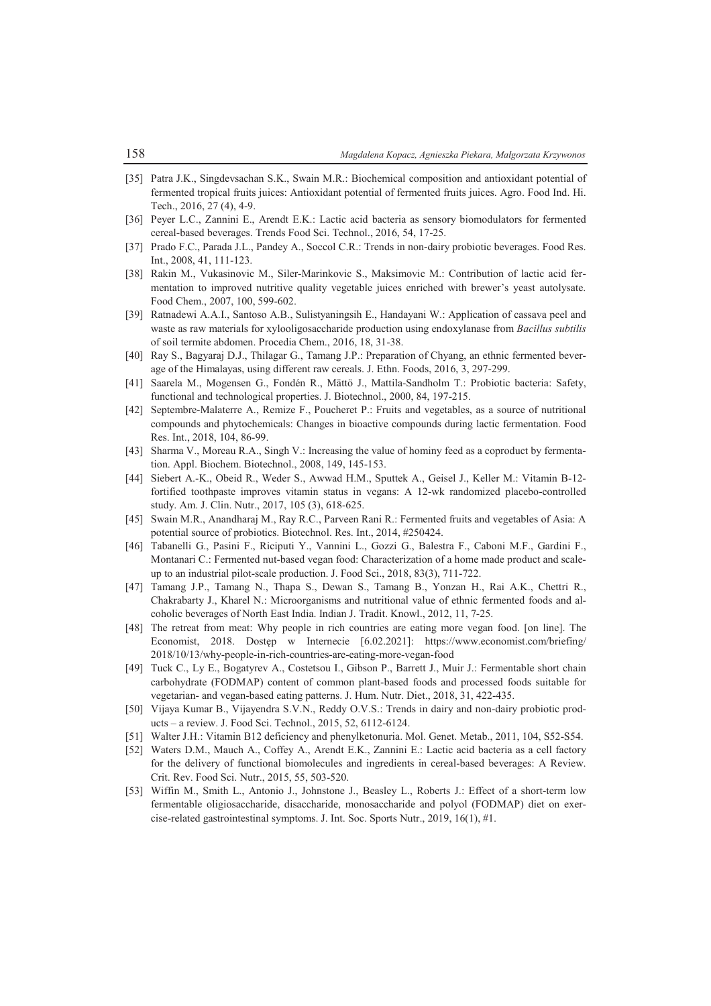- [35] Patra J.K., Singdevsachan S.K., Swain M.R.: Biochemical composition and antioxidant potential of fermented tropical fruits juices: Antioxidant potential of fermented fruits juices. Agro. Food Ind. Hi. Tech., 2016, 27 (4), 4-9.
- [36] Peyer L.C., Zannini E., Arendt E.K.: Lactic acid bacteria as sensory biomodulators for fermented cereal-based beverages. Trends Food Sci. Technol., 2016, 54, 17-25.
- [37] Prado F.C., Parada J.L., Pandey A., Soccol C.R.: Trends in non-dairy probiotic beverages. Food Res. Int., 2008, 41, 111-123.
- [38] Rakin M., Vukasinovic M., Siler-Marinkovic S., Maksimovic M.: Contribution of lactic acid fermentation to improved nutritive quality vegetable juices enriched with brewer's yeast autolysate. Food Chem., 2007, 100, 599-602.
- [39] Ratnadewi A.A.I., Santoso A.B., Sulistyaningsih E., Handayani W.: Application of cassava peel and waste as raw materials for xylooligosaccharide production using endoxylanase from *Bacillus subtilis* of soil termite abdomen. Procedia Chem., 2016, 18, 31-38.
- [40] Ray S., Bagyaraj D.J., Thilagar G., Tamang J.P.: Preparation of Chyang, an ethnic fermented beverage of the Himalayas, using different raw cereals. J. Ethn. Foods, 2016, 3, 297-299.
- [41] Saarela M., Mogensen G., Fondén R., Mättö J., Mattila-Sandholm T.: Probiotic bacteria: Safety, functional and technological properties. J. Biotechnol., 2000, 84, 197-215.
- [42] Septembre-Malaterre A., Remize F., Poucheret P.: Fruits and vegetables, as a source of nutritional compounds and phytochemicals: Changes in bioactive compounds during lactic fermentation. Food Res. Int., 2018, 104, 86-99.
- [43] Sharma V., Moreau R.A., Singh V.: Increasing the value of hominy feed as a coproduct by fermentation. Appl. Biochem. Biotechnol., 2008, 149, 145-153.
- [44] Siebert A.-K., Obeid R., Weder S., Awwad H.M., Sputtek A., Geisel J., Keller M.: Vitamin B-12 fortified toothpaste improves vitamin status in vegans: A 12-wk randomized placebo-controlled study. Am. J. Clin. Nutr., 2017, 105 (3), 618-625.
- [45] Swain M.R., Anandharaj M., Ray R.C., Parveen Rani R.: Fermented fruits and vegetables of Asia: A potential source of probiotics. Biotechnol. Res. Int., 2014, #250424.
- [46] Tabanelli G., Pasini F., Riciputi Y., Vannini L., Gozzi G., Balestra F., Caboni M.F., Gardini F., Montanari C.: Fermented nut-based vegan food: Characterization of a home made product and scaleup to an industrial pilot-scale production. J. Food Sci., 2018, 83(3), 711-722.
- [47] Tamang J.P., Tamang N., Thapa S., Dewan S., Tamang B., Yonzan H., Rai A.K., Chettri R., Chakrabarty J., Kharel N.: Microorganisms and nutritional value of ethnic fermented foods and alcoholic beverages of North East India. Indian J. Tradit. Knowl., 2012, 11, 7-25.
- [48] The retreat from meat: Why people in rich countries are eating more vegan food. [on line]. The Economist, 2018. Dostęp w Internecie [6.02.2021]: https://www.economist.com/briefing/ 2018/10/13/why-people-in-rich-countries-are-eating-more-vegan-food
- [49] Tuck C., Ly E., Bogatyrev A., Costetsou I., Gibson P., Barrett J., Muir J.: Fermentable short chain carbohydrate (FODMAP) content of common plant-based foods and processed foods suitable for vegetarian- and vegan-based eating patterns. J. Hum. Nutr. Diet., 2018, 31, 422-435.
- [50] Vijaya Kumar B., Vijayendra S.V.N., Reddy O.V.S.: Trends in dairy and non-dairy probiotic products – a review. J. Food Sci. Technol., 2015, 52, 6112-6124.
- [51] Walter J.H.: Vitamin B12 deficiency and phenylketonuria. Mol. Genet. Metab., 2011, 104, S52-S54.
- [52] Waters D.M., Mauch A., Coffey A., Arendt E.K., Zannini E.: Lactic acid bacteria as a cell factory for the delivery of functional biomolecules and ingredients in cereal-based beverages: A Review. Crit. Rev. Food Sci. Nutr., 2015, 55, 503-520.
- [53] Wiffin M., Smith L., Antonio J., Johnstone J., Beasley L., Roberts J.: Effect of a short-term low fermentable oligiosaccharide, disaccharide, monosaccharide and polyol (FODMAP) diet on exercise-related gastrointestinal symptoms. J. Int. Soc. Sports Nutr., 2019, 16(1), #1.